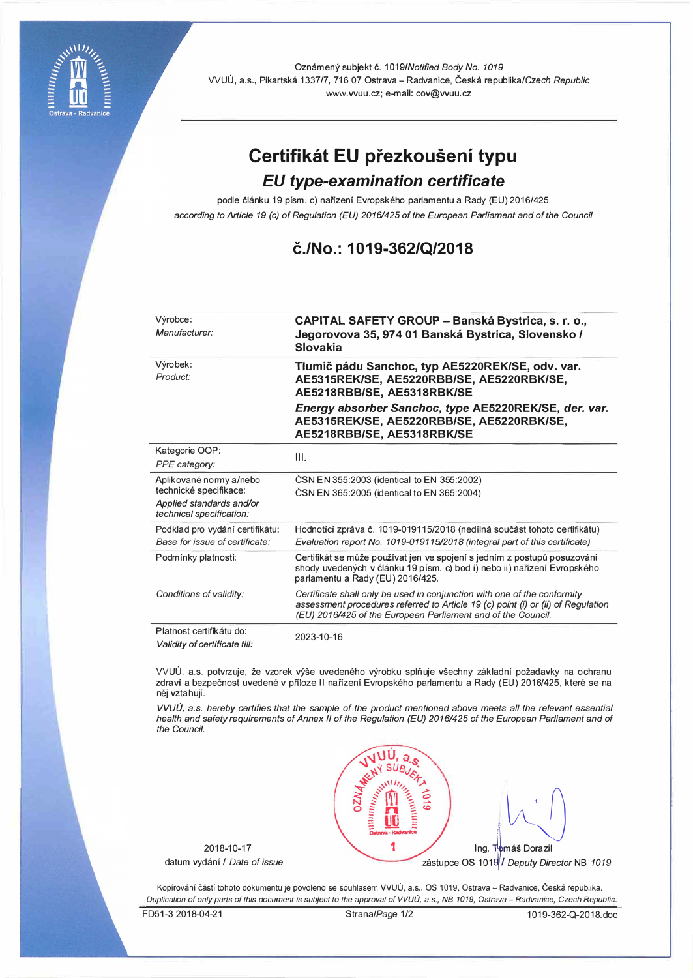

Oznámený subjekt č. 1019/Notified Body No. 1019 WUU, a.s., Pikartska 1337/7, 716 07 Ostrava - Radvanice, Ceska republika/Czech *Republic*  www.vvuu.cz; e-mail: cov@vvuu.cz

# **Certifikat EU prezkouseni typu**

## *EU type-examination certificate*

podle článku 19 písm. c) nařízení Evropského parlamentu a Rady (EU) 2016/425 *according to Article 19 (c) of Regulation (EU) 2016/425 of the European Parliament and of the Council* 

### **c./No.: 1019-362/Q/2018**

| Výrobce:<br>Manufacturer:                                                                                 | CAPITAL SAFETY GROUP - Banská Bystrica, s. r. o.,<br>Jegorovova 35, 974 01 Banská Bystrica, Slovensko /<br>Slovakia                                                                                                          |  |
|-----------------------------------------------------------------------------------------------------------|------------------------------------------------------------------------------------------------------------------------------------------------------------------------------------------------------------------------------|--|
| Výrobek:<br>Product:                                                                                      | Tlumič pádu Sanchoc, typ AE5220REK/SE, odv. var.<br>AE5315REK/SE, AE5220RBB/SE, AE5220RBK/SE,<br>AE5218RBB/SE, AE5318RBK/SE                                                                                                  |  |
|                                                                                                           | Energy absorber Sanchoc, type AE5220REK/SE, der. var.<br>AE5315REK/SE, AE5220RBB/SE, AE5220RBK/SE,<br>AE5218RBB/SE, AE5318RBK/SE                                                                                             |  |
| Kategorie OOP:<br>PPE category:                                                                           | III.                                                                                                                                                                                                                         |  |
| Aplikované normy a/nebo<br>technické specifikace:<br>Applied standards and/or<br>technical specification: | ČSN EN 355:2003 (identical to EN 355:2002)<br>ČSN EN 365:2005 (identical to EN 365:2004)                                                                                                                                     |  |
| Podklad pro vydání certifikátu:<br>Base for issue of certificate:                                         | Hodnotící zpráva č. 1019-019115/2018 (nedílná součást tohoto certifikátu)<br>Evaluation report No. 1019-019115/2018 (integral part of this certificate)                                                                      |  |
| Podmínky platnosti:                                                                                       | Certifikát se může používat jen ve spojení s jedním z postupů posuzováni<br>shody uvedených v článku 19 písm. c) bod i) nebo ii) nařízení Evropského<br>parlamentu a Rady (EU) 2016/425.                                     |  |
| Conditions of validity:                                                                                   | Certificate shall only be used in conjunction with one of the conformity<br>assessment procedures referred to Article 19 (c) point (i) or (ii) of Regulation<br>(EU) 2016/425 of the European Parliament and of the Council. |  |
| Platnost certifikátu do:<br>Validity of certificate till:                                                 | 2023-10-16                                                                                                                                                                                                                   |  |

VVUU, a.s. potvrzuje, že vzorek výše uvedeného výrobku splňuje všechny základní požadavky na ochranu zdraví a bezpečnost uvedené v příloze II nařízení Evropského parlamentu a Rady (EU) 2016/425, které se na něj vztahují.

*VVUU,* a.s. *hereby certifies that the sample of the product mentioned above meets all the relevant essential health and safety requirements of Annex II of the Regulation (EU) 2016/425 of the European Parliament and of the Council.* 

2018-10-17 datum vydani / *Date of issue* 



Kopírování částí tohoto dokumentu je povoleno se souhlasem VVUÚ, a.s., OS 1019, Ostrava - Radvanice, Česká republika. *Duplication of only parts of this document is subject to the approval of VVUU, a.s., NB 1019, Ostrava- Radvanice, Czech Republic.* 

FD51-3 2018-04-21 Strana/Page 1/2 1019-362-Q-2018.doc